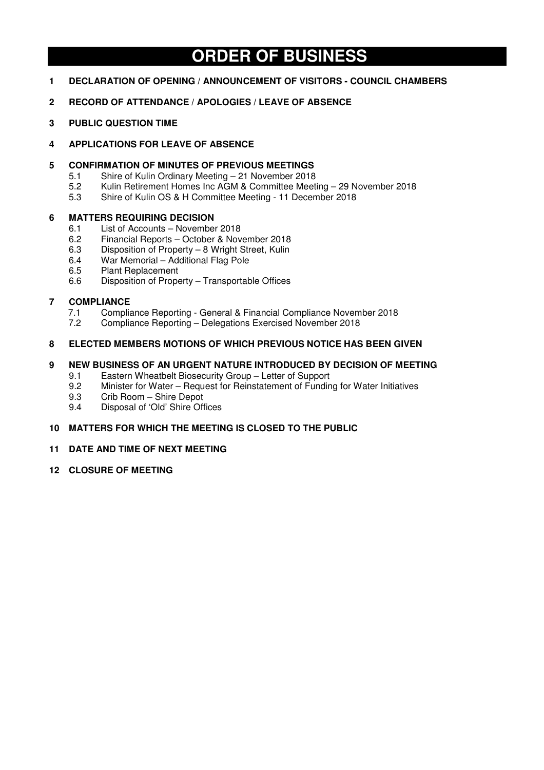# **ORDER OF BUSINESS**

- **1 DECLARATION OF OPENING / ANNOUNCEMENT OF VISITORS COUNCIL CHAMBERS**
- **2 RECORD OF ATTENDANCE / APOLOGIES / LEAVE OF ABSENCE**
- **3 PUBLIC QUESTION TIME**

## **4 APPLICATIONS FOR LEAVE OF ABSENCE**

- **5 CONFIRMATION OF MINUTES OF PREVIOUS MEETINGS** 
	- 5.1 Shire of Kulin Ordinary Meeting 21 November 2018<br>5.2 Kulin Retirement Homes Inc AGM & Committee Meet
	- 5.2 Kulin Retirement Homes Inc AGM & Committee Meeting 29 November 2018
	- 5.3 Shire of Kulin OS & H Committee Meeting 11 December 2018

## **6 MATTERS REQUIRING DECISION**

- 6.1 List of Accounts November 2018
- 6.2 Financial Reports October & November 2018
- 6.3 Disposition of Property 8 Wright Street, Kulin
- 6.4 War Memorial Additional Flag Pole
- Plant Replacement
- 6.6 Disposition of Property Transportable Offices

## **7 COMPLIANCE**

- 7.1 Compliance Reporting General & Financial Compliance November 2018
- 7.2 Compliance Reporting Delegations Exercised November 2018

## **8 ELECTED MEMBERS MOTIONS OF WHICH PREVIOUS NOTICE HAS BEEN GIVEN**

## **9 NEW BUSINESS OF AN URGENT NATURE INTRODUCED BY DECISION OF MEETING**

- 9.1 Eastern Wheatbelt Biosecurity Group Letter of Support
- 9.2 Minister for Water Request for Reinstatement of Funding for Water Initiatives<br>9.3 Crib Room Shire Depot
- 9.3 Crib Room Shire Depot
- 9.4 Disposal of 'Old' Shire Offices

## **10 MATTERS FOR WHICH THE MEETING IS CLOSED TO THE PUBLIC**

## **11 DATE AND TIME OF NEXT MEETING**

**12 CLOSURE OF MEETING**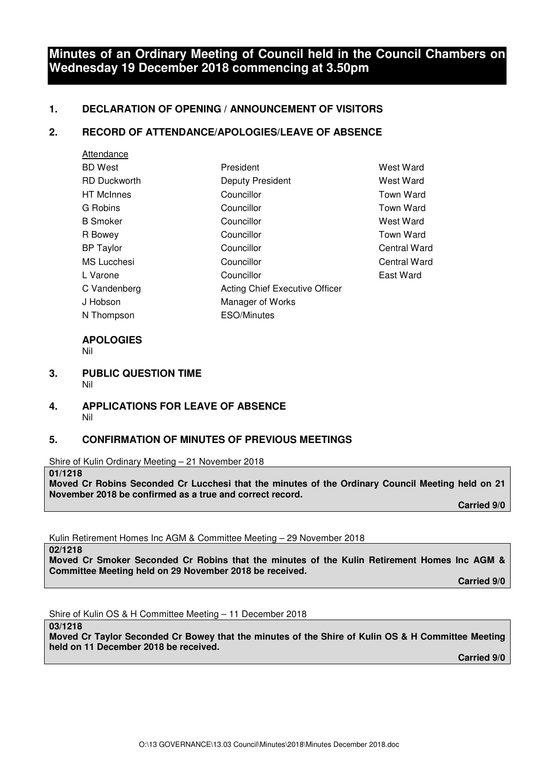# **Minutes of an Ordinary Meeting of Council held in the Council Chambers on Wednesday 19 December 2018 commencing at 3.50pm**

# **1. DECLARATION OF OPENING / ANNOUNCEMENT OF VISITORS**

## **2. RECORD OF ATTENDANCE/APOLOGIES/LEAVE OF ABSENCE**

| Attendance          |                                |                  |
|---------------------|--------------------------------|------------------|
| <b>BD</b> West      | President                      | West Ward        |
| <b>RD Duckworth</b> | Deputy President               | West Ward        |
| <b>HT</b> McInnes   | Councillor                     | Town Ward        |
| G Robins            | Councillor                     | Town Ward        |
| <b>B</b> Smoker     | Councillor                     | West Ward        |
| R Bowey             | Councillor                     | <b>Town Ward</b> |
| <b>BP</b> Taylor    | Councillor                     | Central Ward     |
| <b>MS</b> Lucchesi  | Councillor                     | Central Ward     |
| L Varone            | Councillor                     | East Ward        |
| C Vandenberg        | Acting Chief Executive Officer |                  |
| J Hobson            | Manager of Works               |                  |
| N Thompson          | <b>ESO/Minutes</b>             |                  |

# **APOLOGIES**

Nil

- **3. PUBLIC QUESTION TIME**  Nil
- **4. APPLICATIONS FOR LEAVE OF ABSENCE**  Nil

# **5. CONFIRMATION OF MINUTES OF PREVIOUS MEETINGS**

Shire of Kulin Ordinary Meeting – 21 November 2018

**01/1218** 

**Moved Cr Robins Seconded Cr Lucchesi that the minutes of the Ordinary Council Meeting held on 21 November 2018 be confirmed as a true and correct record.** 

 **Carried 9/0** 

Kulin Retirement Homes Inc AGM & Committee Meeting – 29 November 2018

**02/1218 Moved Cr Smoker Seconded Cr Robins that the minutes of the Kulin Retirement Homes Inc AGM & Committee Meeting held on 29 November 2018 be received.** 

 **Carried 9/0** 

Shire of Kulin OS & H Committee Meeting – 11 December 2018

**03/1218** 

**Moved Cr Taylor Seconded Cr Bowey that the minutes of the Shire of Kulin OS & H Committee Meeting held on 11 December 2018 be received.**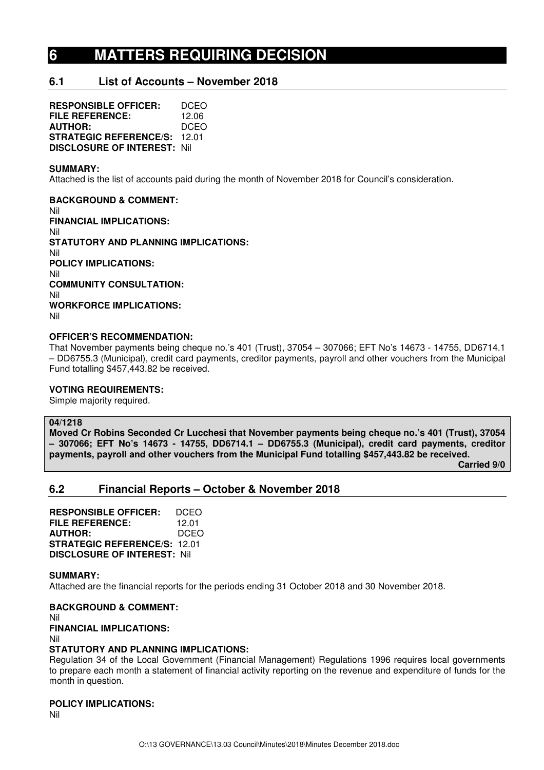# **6 MATTERS REQUIRING DECISION**

## **6.1 List of Accounts – November 2018**

**RESPONSIBLE OFFICER:** DCEO **FILE REFERENCE:** 12.06 **AUTHOR:** DCEO **STRATEGIC REFERENCE/S:** 12.01 **DISCLOSURE OF INTEREST:** Nil

#### **SUMMARY:**

Attached is the list of accounts paid during the month of November 2018 for Council's consideration.

**BACKGROUND & COMMENT:**  Nil **FINANCIAL IMPLICATIONS:**  Nil **STATUTORY AND PLANNING IMPLICATIONS:**  Nil **POLICY IMPLICATIONS:**  Nil **COMMUNITY CONSULTATION:**  Nil **WORKFORCE IMPLICATIONS:**  Nil

## **OFFICER'S RECOMMENDATION:**

That November payments being cheque no.'s 401 (Trust), 37054 – 307066; EFT No's 14673 - 14755, DD6714.1 – DD6755.3 (Municipal), credit card payments, creditor payments, payroll and other vouchers from the Municipal Fund totalling \$457,443.82 be received.

#### **VOTING REQUIREMENTS:**

Simple majority required.

#### **04/1218**

**Moved Cr Robins Seconded Cr Lucchesi that November payments being cheque no.'s 401 (Trust), 37054 – 307066; EFT No's 14673 - 14755, DD6714.1 – DD6755.3 (Municipal), credit card payments, creditor payments, payroll and other vouchers from the Municipal Fund totalling \$457,443.82 be received.** 

 **Carried 9/0** 

## **6.2 Financial Reports – October & November 2018**

**RESPONSIBLE OFFICER:** DCEO **FILE REFERENCE:** 12.01 **AUTHOR:** DCEO **STRATEGIC REFERENCE/S:** 12.01 **DISCLOSURE OF INTEREST:** Nil

#### **SUMMARY:**

Attached are the financial reports for the periods ending 31 October 2018 and 30 November 2018.

#### **BACKGROUND & COMMENT:**

Nil

#### **FINANCIAL IMPLICATIONS:**

Nil

#### **STATUTORY AND PLANNING IMPLICATIONS:**

Regulation 34 of the Local Government (Financial Management) Regulations 1996 requires local governments to prepare each month a statement of financial activity reporting on the revenue and expenditure of funds for the month in question.

## **POLICY IMPLICATIONS:**

Nil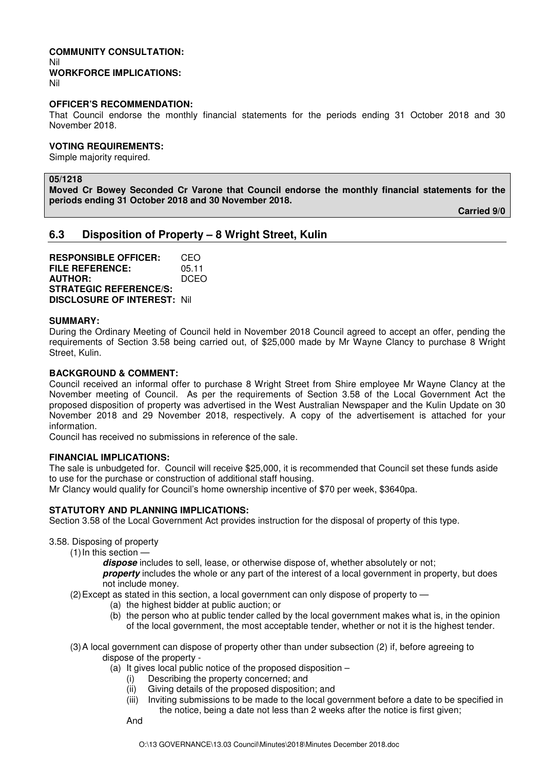## **COMMUNITY CONSULTATION:**  Nil **WORKFORCE IMPLICATIONS:**

Nil

#### **OFFICER'S RECOMMENDATION:**

That Council endorse the monthly financial statements for the periods ending 31 October 2018 and 30 November 2018.

#### **VOTING REQUIREMENTS:**

Simple majority required.

## **05/1218**

**Moved Cr Bowey Seconded Cr Varone that Council endorse the monthly financial statements for the periods ending 31 October 2018 and 30 November 2018.** 

**Carried 9/0** 

## **6.3 Disposition of Property – 8 Wright Street, Kulin**

**RESPONSIBLE OFFICER:** CEO **FILE REFERENCE:** 05.11<br>**AUTHOR:** DCEO **AUTHOR: STRATEGIC REFERENCE/S: DISCLOSURE OF INTEREST:** Nil

#### **SUMMARY:**

During the Ordinary Meeting of Council held in November 2018 Council agreed to accept an offer, pending the requirements of Section 3.58 being carried out, of \$25,000 made by Mr Wayne Clancy to purchase 8 Wright Street, Kulin.

#### **BACKGROUND & COMMENT:**

Council received an informal offer to purchase 8 Wright Street from Shire employee Mr Wayne Clancy at the November meeting of Council. As per the requirements of Section 3.58 of the Local Government Act the proposed disposition of property was advertised in the West Australian Newspaper and the Kulin Update on 30 November 2018 and 29 November 2018, respectively. A copy of the advertisement is attached for your information.

Council has received no submissions in reference of the sale.

## **FINANCIAL IMPLICATIONS:**

The sale is unbudgeted for. Council will receive \$25,000, it is recommended that Council set these funds aside to use for the purchase or construction of additional staff housing.

Mr Clancy would qualify for Council's home ownership incentive of \$70 per week, \$3640pa.

#### **STATUTORY AND PLANNING IMPLICATIONS:**

Section 3.58 of the Local Government Act provides instruction for the disposal of property of this type.

3.58. Disposing of property

(1) In this section —

**dispose** includes to sell, lease, or otherwise dispose of, whether absolutely or not; **property** includes the whole or any part of the interest of a local government in property, but does not include money.

(2) Except as stated in this section, a local government can only dispose of property to —

- (a) the highest bidder at public auction; or
- (b) the person who at public tender called by the local government makes what is, in the opinion of the local government, the most acceptable tender, whether or not it is the highest tender.
- (3) A local government can dispose of property other than under subsection (2) if, before agreeing to dispose of the property -
	- (a) It gives local public notice of the proposed disposition
		- (i) Describing the property concerned; and
		- (ii) Giving details of the proposed disposition; and
		- (iii) Inviting submissions to be made to the local government before a date to be specified in the notice, being a date not less than 2 weeks after the notice is first given;

And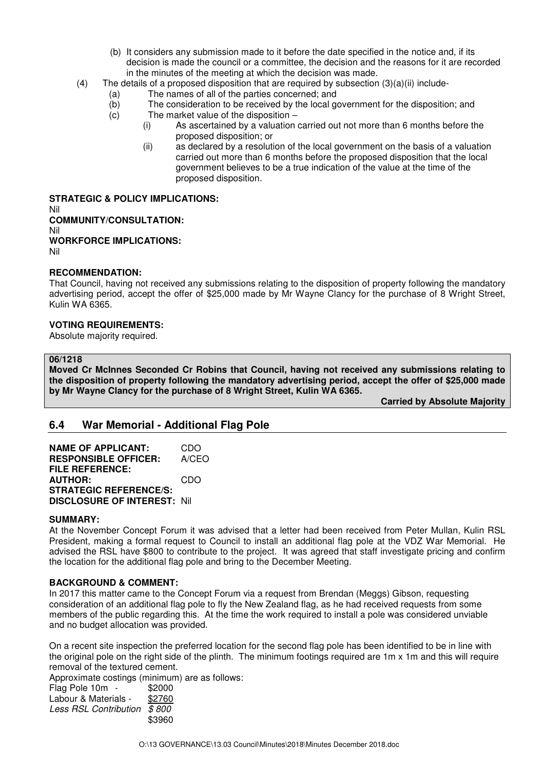- (b) It considers any submission made to it before the date specified in the notice and, if its decision is made the council or a committee, the decision and the reasons for it are recorded in the minutes of the meeting at which the decision was made.
- (4) The details of a proposed disposition that are required by subsection  $(3)(a)(ii)$  include-
	- (a) The names of all of the parties concerned; and
	- (b) The consideration to be received by the local government for the disposition; and  $(c)$  The market value of the disposition –
	- The market value of the disposition  $-$ 
		- (i) As ascertained by a valuation carried out not more than 6 months before the proposed disposition; or
		- (ii) as declared by a resolution of the local government on the basis of a valuation carried out more than 6 months before the proposed disposition that the local government believes to be a true indication of the value at the time of the proposed disposition.

**STRATEGIC & POLICY IMPLICATIONS:**  Nil **COMMUNITY/CONSULTATION:**  Nil **WORKFORCE IMPLICATIONS:**  Nil

## **RECOMMENDATION:**

That Council, having not received any submissions relating to the disposition of property following the mandatory advertising period, accept the offer of \$25,000 made by Mr Wayne Clancy for the purchase of 8 Wright Street, Kulin WA 6365.

## **VOTING REQUIREMENTS:**

Absolute majority required.

#### **06/1218**

**Moved Cr McInnes Seconded Cr Robins that Council, having not received any submissions relating to the disposition of property following the mandatory advertising period, accept the offer of \$25,000 made by Mr Wayne Clancy for the purchase of 8 Wright Street, Kulin WA 6365.** 

**Carried by Absolute Majority** 

# **6.4 War Memorial - Additional Flag Pole**

**NAME OF APPLICANT:** CDO **RESPONSIBLE OFFICER:** A/CEO **FILE REFERENCE: AUTHOR:** CDO **STRATEGIC REFERENCE/S: DISCLOSURE OF INTEREST:** Nil

## **SUMMARY:**

At the November Concept Forum it was advised that a letter had been received from Peter Mullan, Kulin RSL President, making a formal request to Council to install an additional flag pole at the VDZ War Memorial. He advised the RSL have \$800 to contribute to the project. It was agreed that staff investigate pricing and confirm the location for the additional flag pole and bring to the December Meeting.

#### **BACKGROUND & COMMENT:**

In 2017 this matter came to the Concept Forum via a request from Brendan (Meggs) Gibson, requesting consideration of an additional flag pole to fly the New Zealand flag, as he had received requests from some members of the public regarding this. At the time the work required to install a pole was considered unviable and no budget allocation was provided.

On a recent site inspection the preferred location for the second flag pole has been identified to be in line with the original pole on the right side of the plinth. The minimum footings required are 1m x 1m and this will require removal of the textured cement.

Approximate costings (minimum) are as follows:

| Flag Pole 10m                | \$2000 |
|------------------------------|--------|
| Labour & Materials -         | \$2760 |
| <b>Less RSL Contribution</b> | \$800  |
|                              | \$3960 |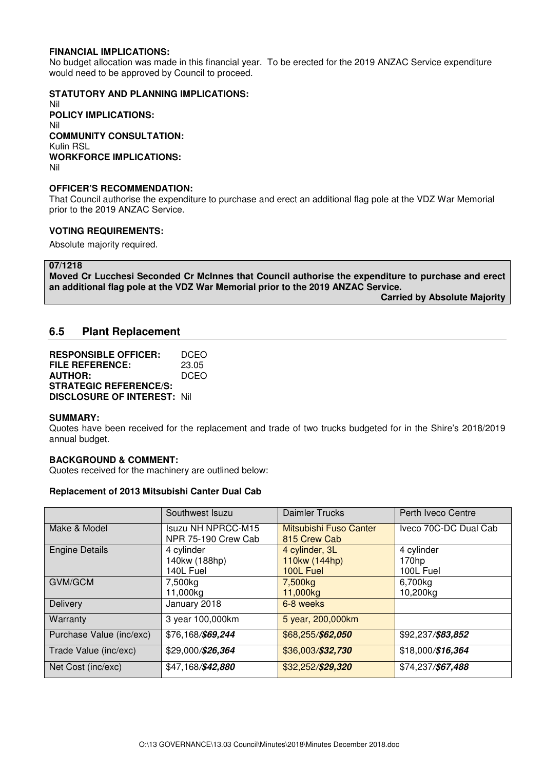### **FINANCIAL IMPLICATIONS:**

No budget allocation was made in this financial year. To be erected for the 2019 ANZAC Service expenditure would need to be approved by Council to proceed.

#### **STATUTORY AND PLANNING IMPLICATIONS:**

Nil **POLICY IMPLICATIONS:** Nil **COMMUNITY CONSULTATION:** Kulin RSL **WORKFORCE IMPLICATIONS:** Nil

### **OFFICER'S RECOMMENDATION:**

That Council authorise the expenditure to purchase and erect an additional flag pole at the VDZ War Memorial prior to the 2019 ANZAC Service.

#### **VOTING REQUIREMENTS:**

Absolute majority required.

**07/1218** 

**Moved Cr Lucchesi Seconded Cr McInnes that Council authorise the expenditure to purchase and erect an additional flag pole at the VDZ War Memorial prior to the 2019 ANZAC Service.** 

**Carried by Absolute Majority** 

## **6.5 Plant Replacement**

| <b>RESPONSIBLE OFFICER:</b>         | DCEO        |
|-------------------------------------|-------------|
| FILE REFERENCE:                     | 23.05       |
| <b>AUTHOR:</b>                      | <b>DCEO</b> |
| <b>STRATEGIC REFERENCE/S:</b>       |             |
| <b>DISCLOSURE OF INTEREST: Nill</b> |             |

#### **SUMMARY:**

Quotes have been received for the replacement and trade of two trucks budgeted for in the Shire's 2018/2019 annual budget.

#### **BACKGROUND & COMMENT:**

Quotes received for the machinery are outlined below:

#### **Replacement of 2013 Mitsubishi Canter Dual Cab**

|                          | Southwest Isuzu                                  | <b>Daimler Trucks</b>                        | Perth Iveco Centre               |
|--------------------------|--------------------------------------------------|----------------------------------------------|----------------------------------|
| Make & Model             | <b>Isuzu NH NPRCC-M15</b><br>NPR 75-190 Crew Cab | Mitsubishi Fuso Canter<br>815 Crew Cab       | Iveco 70C-DC Dual Cab            |
| <b>Engine Details</b>    | 4 cylinder<br>140kw (188hp)<br>140L Fuel         | 4 cylinder, 3L<br>110kw (144hp)<br>100L Fuel | 4 cylinder<br>170hp<br>100L Fuel |
| GVM/GCM                  | 7,500kg<br>11,000kg                              | 7,500 <sub>kg</sub><br>11,000kg              | 6,700kg<br>10,200kg              |
| <b>Delivery</b>          | January 2018                                     | 6-8 weeks                                    |                                  |
| Warranty                 | 3 year 100,000km                                 | 5 year, 200,000km                            |                                  |
| Purchase Value (inc/exc) | \$76,168/\$69,244                                | \$68,255/\$62,050                            | \$92,237/\$83,852                |
| Trade Value (inc/exc)    | \$29,000/\$26,364                                | \$36,003/\$32,730                            | \$18,000/\$16,364                |
| Net Cost (inc/exc)       | \$47,168/\$42,880                                | \$32,252/\$29,320                            | \$74,237/\$67,488                |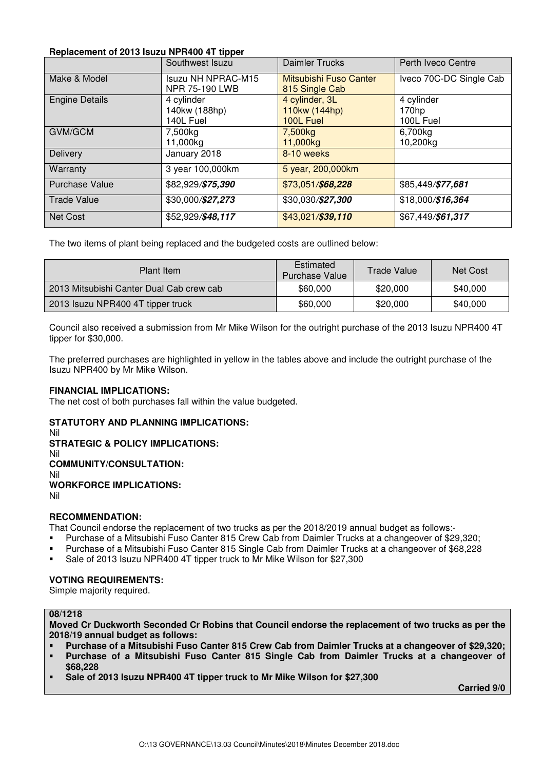## **Replacement of 2013 Isuzu NPR400 4T tipper**

|                       | Southwest Isuzu       | <b>Daimler Trucks</b>  | Perth Iveco Centre      |
|-----------------------|-----------------------|------------------------|-------------------------|
| Make & Model          | Isuzu NH NPRAC-M15    | Mitsubishi Fuso Canter | Iveco 70C-DC Single Cab |
|                       | <b>NPR 75-190 LWB</b> | 815 Single Cab         |                         |
| <b>Engine Details</b> | 4 cylinder            | 4 cylinder, 3L         | 4 cylinder              |
|                       | 140kw (188hp)         | 110kw (144hp)          | 170hp                   |
|                       | 140L Fuel             | 100L Fuel              | 100L Fuel               |
| <b>GVM/GCM</b>        | 7,500kg               | 7,500kg                | 6,700kg                 |
|                       | 11,000kg              | 11,000kg               | 10,200kg                |
| Delivery              | January 2018          | 8-10 weeks             |                         |
| Warranty              | 3 year 100,000km      | 5 year, 200,000km      |                         |
| <b>Purchase Value</b> | \$82,929/\$75,390     | \$73,051/\$68,228      | \$85,449/\$77,681       |
| <b>Trade Value</b>    | \$30,000/\$27,273     | \$30,030/\$27,300      | \$18,000/\$16,364       |
| Net Cost              | \$52,929/\$48,117     | \$43,021/\$39,110      | \$67,449/\$61,317       |

The two items of plant being replaced and the budgeted costs are outlined below:

| Plant Item                               | Estimated<br><b>Purchase Value</b> | Trade Value | Net Cost |
|------------------------------------------|------------------------------------|-------------|----------|
| 2013 Mitsubishi Canter Dual Cab crew cab | \$60,000                           | \$20,000    | \$40,000 |
| 2013 Isuzu NPR400 4T tipper truck        | \$60,000                           | \$20,000    | \$40,000 |

Council also received a submission from Mr Mike Wilson for the outright purchase of the 2013 Isuzu NPR400 4T tipper for \$30,000.

The preferred purchases are highlighted in yellow in the tables above and include the outright purchase of the Isuzu NPR400 by Mr Mike Wilson.

## **FINANCIAL IMPLICATIONS:**

The net cost of both purchases fall within the value budgeted.

## **STATUTORY AND PLANNING IMPLICATIONS:**

Nil

## **STRATEGIC & POLICY IMPLICATIONS:**

Nil

# **COMMUNITY/CONSULTATION:**

Nil

## **WORKFORCE IMPLICATIONS:**

Nil

## **RECOMMENDATION:**

That Council endorse the replacement of two trucks as per the 2018/2019 annual budget as follows:-

- Purchase of a Mitsubishi Fuso Canter 815 Crew Cab from Daimler Trucks at a changeover of \$29,320;
- Purchase of a Mitsubishi Fuso Canter 815 Single Cab from Daimler Trucks at a changeover of \$68,228
- Sale of 2013 Isuzu NPR400 4T tipper truck to Mr Mike Wilson for \$27,300

## **VOTING REQUIREMENTS:**

Simple majority required.

## **08/1218**

**Moved Cr Duckworth Seconded Cr Robins that Council endorse the replacement of two trucks as per the 2018/19 annual budget as follows:** 

- **Purchase of a Mitsubishi Fuso Canter 815 Crew Cab from Daimler Trucks at a changeover of \$29,320;**
- **Purchase of a Mitsubishi Fuso Canter 815 Single Cab from Daimler Trucks at a changeover of \$68,228**
- **Sale of 2013 Isuzu NPR400 4T tipper truck to Mr Mike Wilson for \$27,300**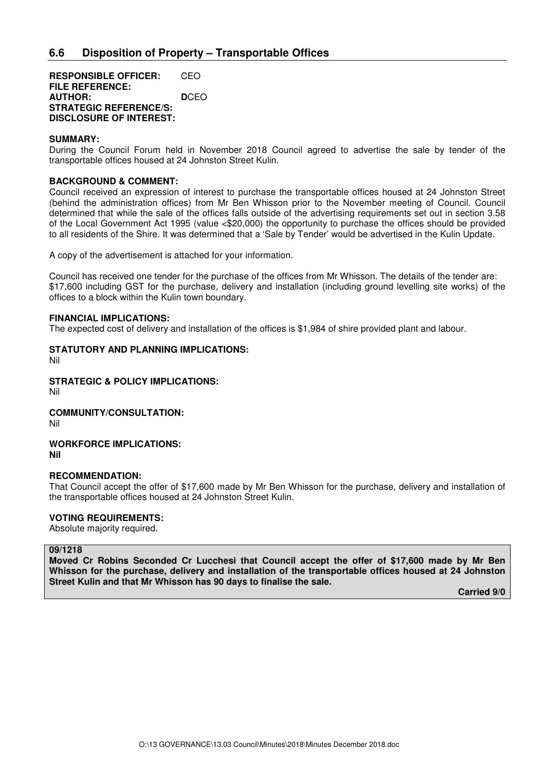**RESPONSIBLE OFFICER:** CEO **FILE REFERENCE: AUTHOR: D**CEO **STRATEGIC REFERENCE/S: DISCLOSURE OF INTEREST:** 

#### **SUMMARY:**

During the Council Forum held in November 2018 Council agreed to advertise the sale by tender of the transportable offices housed at 24 Johnston Street Kulin.

### **BACKGROUND & COMMENT:**

Council received an expression of interest to purchase the transportable offices housed at 24 Johnston Street (behind the administration offices) from Mr Ben Whisson prior to the November meeting of Council. Council determined that while the sale of the offices falls outside of the advertising requirements set out in section 3.58 of the Local Government Act 1995 (value <\$20,000) the opportunity to purchase the offices should be provided to all residents of the Shire. It was determined that a 'Sale by Tender' would be advertised in the Kulin Update.

A copy of the advertisement is attached for your information.

Council has received one tender for the purchase of the offices from Mr Whisson. The details of the tender are: \$17,600 including GST for the purchase, delivery and installation (including ground levelling site works) of the offices to a block within the Kulin town boundary.

#### **FINANCIAL IMPLICATIONS:**

The expected cost of delivery and installation of the offices is \$1,984 of shire provided plant and labour.

# **STATUTORY AND PLANNING IMPLICATIONS:**

Nil

**STRATEGIC & POLICY IMPLICATIONS:** 

Nil

# **COMMUNITY/CONSULTATION:**

Nil

#### **WORKFORCE IMPLICATIONS: Nil**

#### **RECOMMENDATION:**

That Council accept the offer of \$17,600 made by Mr Ben Whisson for the purchase, delivery and installation of the transportable offices housed at 24 Johnston Street Kulin.

## **VOTING REQUIREMENTS:**

Absolute majority required.

#### **09/1218**

**Moved Cr Robins Seconded Cr Lucchesi that Council accept the offer of \$17,600 made by Mr Ben Whisson for the purchase, delivery and installation of the transportable offices housed at 24 Johnston Street Kulin and that Mr Whisson has 90 days to finalise the sale.**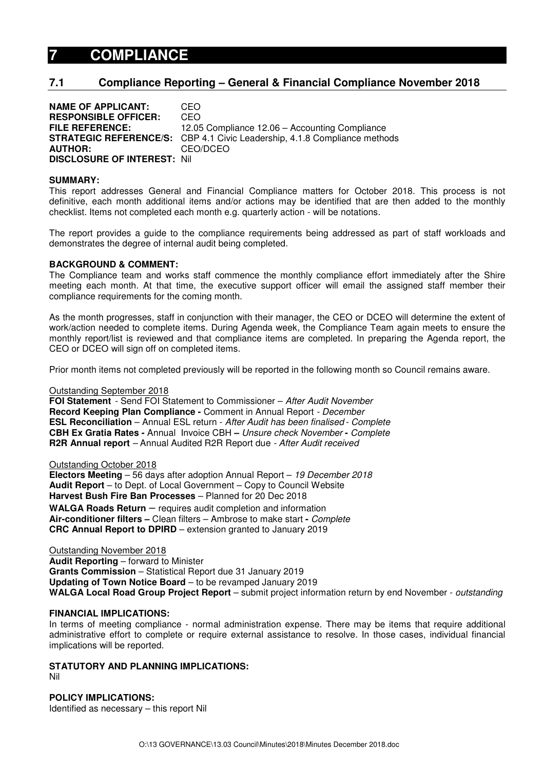# **7 COMPLIANCE**

# **7.1 Compliance Reporting – General & Financial Compliance November 2018**

**NAME OF APPLICANT:** CEO **RESPONSIBLE OFFICER:** CEO **FILE REFERENCE:** 12.05 Compliance 12.06 – Accounting Compliance **STRATEGIC REFERENCE/S:** CBP 4.1 Civic Leadership, 4.1.8 Compliance methods **AUTHOR:** CEO/DCEO **DISCLOSURE OF INTEREST:** Nil

#### **SUMMARY:**

This report addresses General and Financial Compliance matters for October 2018. This process is not definitive, each month additional items and/or actions may be identified that are then added to the monthly checklist. Items not completed each month e.g. quarterly action - will be notations.

The report provides a guide to the compliance requirements being addressed as part of staff workloads and demonstrates the degree of internal audit being completed.

#### **BACKGROUND & COMMENT:**

The Compliance team and works staff commence the monthly compliance effort immediately after the Shire meeting each month. At that time, the executive support officer will email the assigned staff member their compliance requirements for the coming month.

As the month progresses, staff in conjunction with their manager, the CEO or DCEO will determine the extent of work/action needed to complete items. During Agenda week, the Compliance Team again meets to ensure the monthly report/list is reviewed and that compliance items are completed. In preparing the Agenda report, the CEO or DCEO will sign off on completed items.

Prior month items not completed previously will be reported in the following month so Council remains aware.

## Outstanding September 2018

**FOI Statement** - Send FOI Statement to Commissioner – After Audit November **Record Keeping Plan Compliance -** Comment in Annual Report - December **ESL Reconciliation** – Annual ESL return - After Audit has been finalised - Complete **CBH Ex Gratia Rates -** Annual Invoice CBH **–** Unsure check November **-** Complete **R2R Annual report** – Annual Audited R2R Report due - After Audit received

#### Outstanding October 2018

**Electors Meeting** – 56 days after adoption Annual Report – 19 December 2018 **Audit Report** – to Dept. of Local Government – Copy to Council Website **Harvest Bush Fire Ban Processes** – Planned for 20 Dec 2018 **WALGA Roads Return** – requires audit completion and information **Air-conditioner filters –** Clean filters – Ambrose to make start **-** Complete **CRC Annual Report to DPIRD** – extension granted to January 2019

Outstanding November 2018 **Audit Reporting** – forward to Minister **Grants Commission** – Statistical Report due 31 January 2019 **Updating of Town Notice Board** – to be revamped January 2019 **WALGA Local Road Group Project Report** – submit project information return by end November - outstanding

#### **FINANCIAL IMPLICATIONS:**

In terms of meeting compliance - normal administration expense. There may be items that require additional administrative effort to complete or require external assistance to resolve. In those cases, individual financial implications will be reported.

# **STATUTORY AND PLANNING IMPLICATIONS:**

Nil

**POLICY IMPLICATIONS:**  Identified as necessary – this report Nil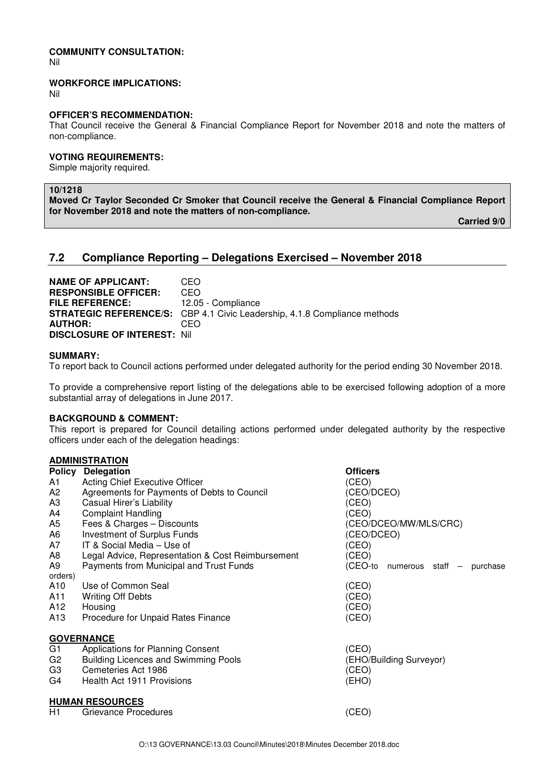## **COMMUNITY CONSULTATION:**

Nil

## **WORKFORCE IMPLICATIONS:**

Nil

## **OFFICER'S RECOMMENDATION:**

That Council receive the General & Financial Compliance Report for November 2018 and note the matters of non-compliance.

## **VOTING REQUIREMENTS:**

Simple majority required.

### **10/1218**

**Moved Cr Taylor Seconded Cr Smoker that Council receive the General & Financial Compliance Report for November 2018 and note the matters of non-compliance.** 

 **Carried 9/0** 

# **7.2 Compliance Reporting – Delegations Exercised – November 2018**

**NAME OF APPLICANT:** CEO **RESPONSIBLE OFFICER:** CEO **FILE REFERENCE:** 12.05 - Compliance **STRATEGIC REFERENCE/S:** CBP 4.1 Civic Leadership, 4.1.8 Compliance methods<br>**AUTHOR:** CEO **AUTHOR: DISCLOSURE OF INTEREST:** Nil

## **SUMMARY:**

To report back to Council actions performed under delegated authority for the period ending 30 November 2018.

To provide a comprehensive report listing of the delegations able to be exercised following adoption of a more substantial array of delegations in June 2017.

#### **BACKGROUND & COMMENT:**

This report is prepared for Council detailing actions performed under delegated authority by the respective officers under each of the delegation headings:

## **ADMINISTRATION**

|                | <b>ADMINISTRATION</b>                             |                                   |
|----------------|---------------------------------------------------|-----------------------------------|
| <b>Policy</b>  | <b>Delegation</b>                                 | <b>Officers</b>                   |
| A1             | Acting Chief Executive Officer                    | (CEO)                             |
| A2             | Agreements for Payments of Debts to Council       | (CEO/DCEO)                        |
| A <sub>3</sub> | Casual Hirer's Liability                          | (CEO)                             |
| A4             | <b>Complaint Handling</b>                         | (CEO)                             |
| A5             | Fees & Charges - Discounts                        | (CEO/DCEO/MW/MLS/CRC)             |
| A6             | <b>Investment of Surplus Funds</b>                | (CEO/DCEO)                        |
| A7             | IT & Social Media – Use of                        | (CEO)                             |
| A8             | Legal Advice, Representation & Cost Reimbursement | (CEO)                             |
| A9             | Payments from Municipal and Trust Funds           | (CEO-to numerous staff - purchase |
| orders)        |                                                   |                                   |
| A10            | Use of Common Seal                                | (CEO)                             |
| A11            | <b>Writing Off Debts</b>                          | (CEO)                             |
| A12            | Housing                                           | (CEO)                             |
| A13            | Procedure for Unpaid Rates Finance                | (CEO)                             |
|                | <b>GOVERNANCE</b>                                 |                                   |
| G <sub>1</sub> | Applications for Planning Consent                 | (CEO)                             |
| G <sub>2</sub> | <b>Building Licences and Swimming Pools</b>       | (EHO/Building Surveyor)           |
| G3             | Cemeteries Act 1986                               | (CEO)                             |
| G4             | Health Act 1911 Provisions                        | (EHO)                             |
|                | <b>HUMAN RESOURCES</b>                            |                                   |
| H1             | Grievance Procedures                              | (CEO)                             |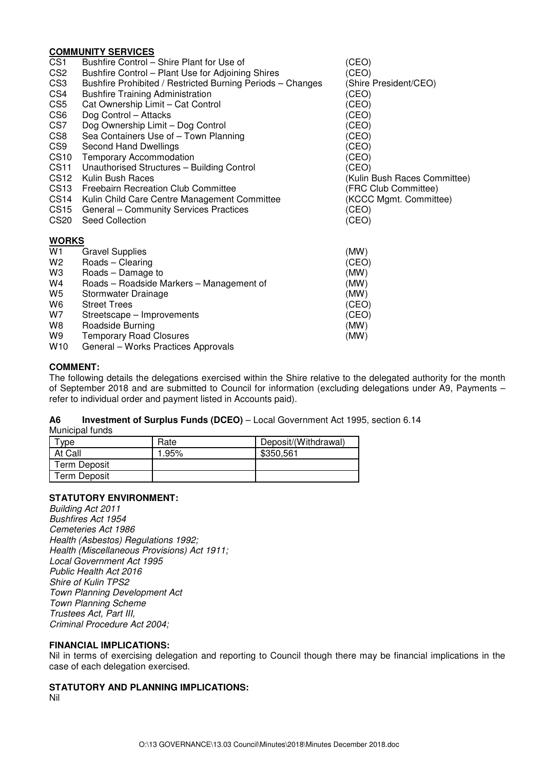## **COMMUNITY SERVICES**

| <u> Juliano III i Jerrio Lu</u>                            |                                                                                                                                                                                                                                                                                                                                            |
|------------------------------------------------------------|--------------------------------------------------------------------------------------------------------------------------------------------------------------------------------------------------------------------------------------------------------------------------------------------------------------------------------------------|
| Bushfire Control – Shire Plant for Use of                  | (CEO)                                                                                                                                                                                                                                                                                                                                      |
| Bushfire Control - Plant Use for Adjoining Shires          | (CEO)                                                                                                                                                                                                                                                                                                                                      |
| Bushfire Prohibited / Restricted Burning Periods - Changes | (Shire President/CEO)                                                                                                                                                                                                                                                                                                                      |
|                                                            | (CEO)                                                                                                                                                                                                                                                                                                                                      |
| Cat Ownership Limit - Cat Control                          | (CEO)                                                                                                                                                                                                                                                                                                                                      |
| Dog Control - Attacks                                      | (CEO)                                                                                                                                                                                                                                                                                                                                      |
| Dog Ownership Limit - Dog Control                          | (CEO)                                                                                                                                                                                                                                                                                                                                      |
|                                                            | (CEO)                                                                                                                                                                                                                                                                                                                                      |
|                                                            | (CEO)                                                                                                                                                                                                                                                                                                                                      |
|                                                            | (CEO)                                                                                                                                                                                                                                                                                                                                      |
| Unauthorised Structures - Building Control                 | (CEO)                                                                                                                                                                                                                                                                                                                                      |
| Kulin Bush Races                                           | (Kulin Bush Races Committee)                                                                                                                                                                                                                                                                                                               |
| <b>Freebairn Recreation Club Committee</b>                 | (FRC Club Committee)                                                                                                                                                                                                                                                                                                                       |
| Kulin Child Care Centre Management Committee               | (KCCC Mgmt. Committee)                                                                                                                                                                                                                                                                                                                     |
| General - Community Services Practices                     | (CEO)                                                                                                                                                                                                                                                                                                                                      |
| Seed Collection                                            | (CEO)                                                                                                                                                                                                                                                                                                                                      |
|                                                            |                                                                                                                                                                                                                                                                                                                                            |
|                                                            | (MW)                                                                                                                                                                                                                                                                                                                                       |
|                                                            | (CEO)                                                                                                                                                                                                                                                                                                                                      |
|                                                            | (MW)                                                                                                                                                                                                                                                                                                                                       |
|                                                            | (MW)                                                                                                                                                                                                                                                                                                                                       |
| Stormwater Drainage                                        | (MW)                                                                                                                                                                                                                                                                                                                                       |
| <b>Street Trees</b>                                        | (CEO)                                                                                                                                                                                                                                                                                                                                      |
|                                                            | (CEO)                                                                                                                                                                                                                                                                                                                                      |
| Roadside Burning                                           | (MW)                                                                                                                                                                                                                                                                                                                                       |
|                                                            | (MW)                                                                                                                                                                                                                                                                                                                                       |
| General - Works Practices Approvals                        |                                                                                                                                                                                                                                                                                                                                            |
|                                                            | <b>Bushfire Training Administration</b><br>Sea Containers Use of - Town Planning<br>Second Hand Dwellings<br><b>Temporary Accommodation</b><br><b>WORKS</b><br><b>Gravel Supplies</b><br>Roads - Clearing<br>Roads – Damage to<br>Roads - Roadside Markers - Management of<br>Streetscape - Improvements<br><b>Temporary Road Closures</b> |

#### **COMMENT:**

The following details the delegations exercised within the Shire relative to the delegated authority for the month of September 2018 and are submitted to Council for information (excluding delegations under A9, Payments – refer to individual order and payment listed in Accounts paid).

# **A6 Investment of Surplus Funds (DCEO)** – Local Government Act 1995, section 6.14

Municipal funds

| vpe                 | Rate  | Deposit/(Withdrawal) |
|---------------------|-------|----------------------|
| At Call             | 1.95% | \$350,561            |
| <b>Term Deposit</b> |       |                      |
| Term Deposit        |       |                      |

## **STATUTORY ENVIRONMENT:**

Building Act 2011 Bushfires Act 1954 Cemeteries Act 1986 Health (Asbestos) Regulations 1992; Health (Miscellaneous Provisions) Act 1911; Local Government Act 1995 Public Health Act 2016 Shire of Kulin TPS2 Town Planning Development Act Town Planning Scheme Trustees Act, Part III, Criminal Procedure Act 2004;

## **FINANCIAL IMPLICATIONS:**

Nil in terms of exercising delegation and reporting to Council though there may be financial implications in the case of each delegation exercised.

## **STATUTORY AND PLANNING IMPLICATIONS:**

Nil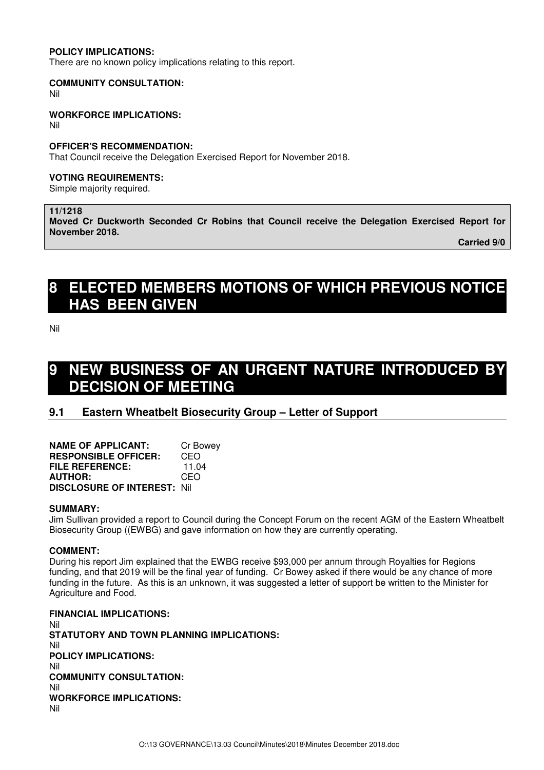## **POLICY IMPLICATIONS:**

There are no known policy implications relating to this report.

#### **COMMUNITY CONSULTATION:**

Nil

## **WORKFORCE IMPLICATIONS:**

Nil

### **OFFICER'S RECOMMENDATION:**

That Council receive the Delegation Exercised Report for November 2018.

## **VOTING REQUIREMENTS:**

Simple majority required.

## **11/1218**

**Moved Cr Duckworth Seconded Cr Robins that Council receive the Delegation Exercised Report for November 2018.** 

 **Carried 9/0** 

# **8 ELECTED MEMBERS MOTIONS OF WHICH PREVIOUS NOTICE HAS BEEN GIVEN**

Nil

# **9 NEW BUSINESS OF AN URGENT NATURE INTRODUCED BY DECISION OF MEETING**

# **9.1 Eastern Wheatbelt Biosecurity Group – Letter of Support**

| <b>NAME OF APPLICANT:</b>          | Cr Bowey |
|------------------------------------|----------|
| <b>RESPONSIBLE OFFICER:</b>        | CEO      |
| <b>FILE REFERENCE:</b>             | 11.04    |
| <b>AUTHOR:</b>                     | CEO      |
| <b>DISCLOSURE OF INTEREST: Nil</b> |          |

#### **SUMMARY:**

Jim Sullivan provided a report to Council during the Concept Forum on the recent AGM of the Eastern Wheatbelt Biosecurity Group ((EWBG) and gave information on how they are currently operating.

#### **COMMENT:**

During his report Jim explained that the EWBG receive \$93,000 per annum through Royalties for Regions funding, and that 2019 will be the final year of funding. Cr Bowey asked if there would be any chance of more funding in the future. As this is an unknown, it was suggested a letter of support be written to the Minister for Agriculture and Food.

**FINANCIAL IMPLICATIONS:**  Nil **STATUTORY AND TOWN PLANNING IMPLICATIONS:**  Nil **POLICY IMPLICATIONS:** Nil **COMMUNITY CONSULTATION:** Nil **WORKFORCE IMPLICATIONS:** Nil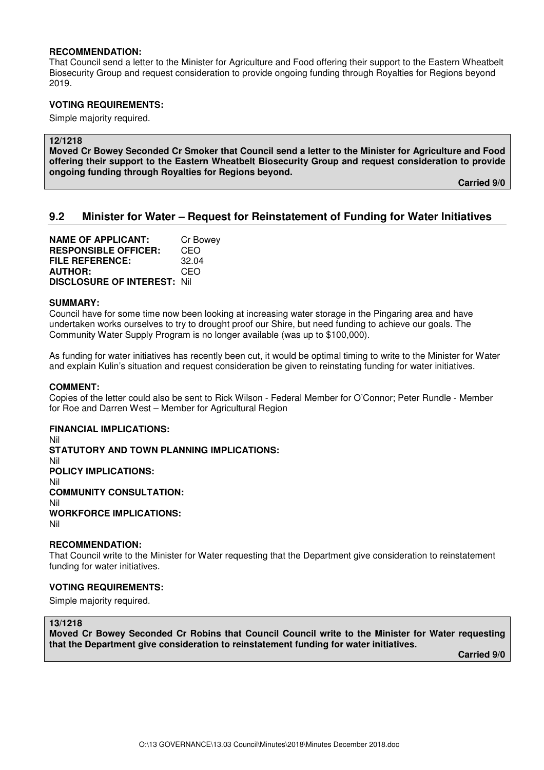#### **RECOMMENDATION:**

That Council send a letter to the Minister for Agriculture and Food offering their support to the Eastern Wheatbelt Biosecurity Group and request consideration to provide ongoing funding through Royalties for Regions beyond 2019.

### **VOTING REQUIREMENTS:**

Simple majority required.

#### **12/1218**

**Moved Cr Bowey Seconded Cr Smoker that Council send a letter to the Minister for Agriculture and Food offering their support to the Eastern Wheatbelt Biosecurity Group and request consideration to provide ongoing funding through Royalties for Regions beyond.** 

 **Carried 9/0** 

# **9.2 Minister for Water – Request for Reinstatement of Funding for Water Initiatives**

**NAME OF APPLICANT:** Cr Bowey **RESPONSIBLE OFFICER:** CEO **FILE REFERENCE:** 32.04 **AUTHOR:** CEO **DISCLOSURE OF INTEREST:** Nil

#### **SUMMARY:**

Council have for some time now been looking at increasing water storage in the Pingaring area and have undertaken works ourselves to try to drought proof our Shire, but need funding to achieve our goals. The Community Water Supply Program is no longer available (was up to \$100,000).

As funding for water initiatives has recently been cut, it would be optimal timing to write to the Minister for Water and explain Kulin's situation and request consideration be given to reinstating funding for water initiatives.

#### **COMMENT:**

Copies of the letter could also be sent to Rick Wilson - Federal Member for O'Connor; Peter Rundle - Member for Roe and Darren West – Member for Agricultural Region

## **FINANCIAL IMPLICATIONS:**

Nil **STATUTORY AND TOWN PLANNING IMPLICATIONS:**  Nil **POLICY IMPLICATIONS:** Nil **COMMUNITY CONSULTATION:** Nil **WORKFORCE IMPLICATIONS:** Nil

## **RECOMMENDATION:**

That Council write to the Minister for Water requesting that the Department give consideration to reinstatement funding for water initiatives.

#### **VOTING REQUIREMENTS:**

Simple majority required.

#### **13/1218**

**Moved Cr Bowey Seconded Cr Robins that Council Council write to the Minister for Water requesting that the Department give consideration to reinstatement funding for water initiatives.**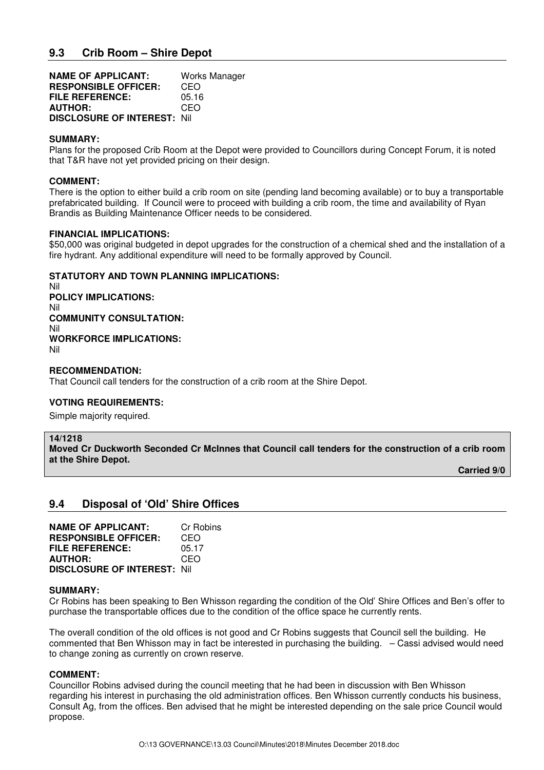| <b>NAME OF APPLICANT:</b>          | Works Manager |
|------------------------------------|---------------|
| <b>RESPONSIBLE OFFICER:</b>        | CEO           |
| <b>FILE REFERENCE:</b>             | 05.16         |
| <b>AUTHOR:</b>                     | CEO           |
| <b>DISCLOSURE OF INTEREST: Nil</b> |               |

### **SUMMARY:**

Plans for the proposed Crib Room at the Depot were provided to Councillors during Concept Forum, it is noted that T&R have not yet provided pricing on their design.

## **COMMENT:**

There is the option to either build a crib room on site (pending land becoming available) or to buy a transportable prefabricated building. If Council were to proceed with building a crib room, the time and availability of Ryan Brandis as Building Maintenance Officer needs to be considered.

## **FINANCIAL IMPLICATIONS:**

\$50,000 was original budgeted in depot upgrades for the construction of a chemical shed and the installation of a fire hydrant. Any additional expenditure will need to be formally approved by Council.

## **STATUTORY AND TOWN PLANNING IMPLICATIONS:**

Nil **POLICY IMPLICATIONS:** Nil **COMMUNITY CONSULTATION:** Nil **WORKFORCE IMPLICATIONS:** Nil

#### **RECOMMENDATION:**

That Council call tenders for the construction of a crib room at the Shire Depot.

## **VOTING REQUIREMENTS:**

Simple majority required.

#### **14/1218**

**Moved Cr Duckworth Seconded Cr McInnes that Council call tenders for the construction of a crib room at the Shire Depot.** 

**Carried 9/0** 

# **9.4 Disposal of 'Old' Shire Offices**

| <b>NAME OF APPLICANT:</b>          | Cr Robins |
|------------------------------------|-----------|
| <b>RESPONSIBLE OFFICER:</b>        | CEO       |
| <b>FILE REFERENCE:</b>             | 05.17     |
| <b>AUTHOR:</b>                     | CEO       |
| <b>DISCLOSURE OF INTEREST: Nil</b> |           |

#### **SUMMARY:**

Cr Robins has been speaking to Ben Whisson regarding the condition of the Old' Shire Offices and Ben's offer to purchase the transportable offices due to the condition of the office space he currently rents.

The overall condition of the old offices is not good and Cr Robins suggests that Council sell the building. He commented that Ben Whisson may in fact be interested in purchasing the building. – Cassi advised would need to change zoning as currently on crown reserve.

#### **COMMENT:**

Councillor Robins advised during the council meeting that he had been in discussion with Ben Whisson regarding his interest in purchasing the old administration offices. Ben Whisson currently conducts his business, Consult Ag, from the offices. Ben advised that he might be interested depending on the sale price Council would propose.